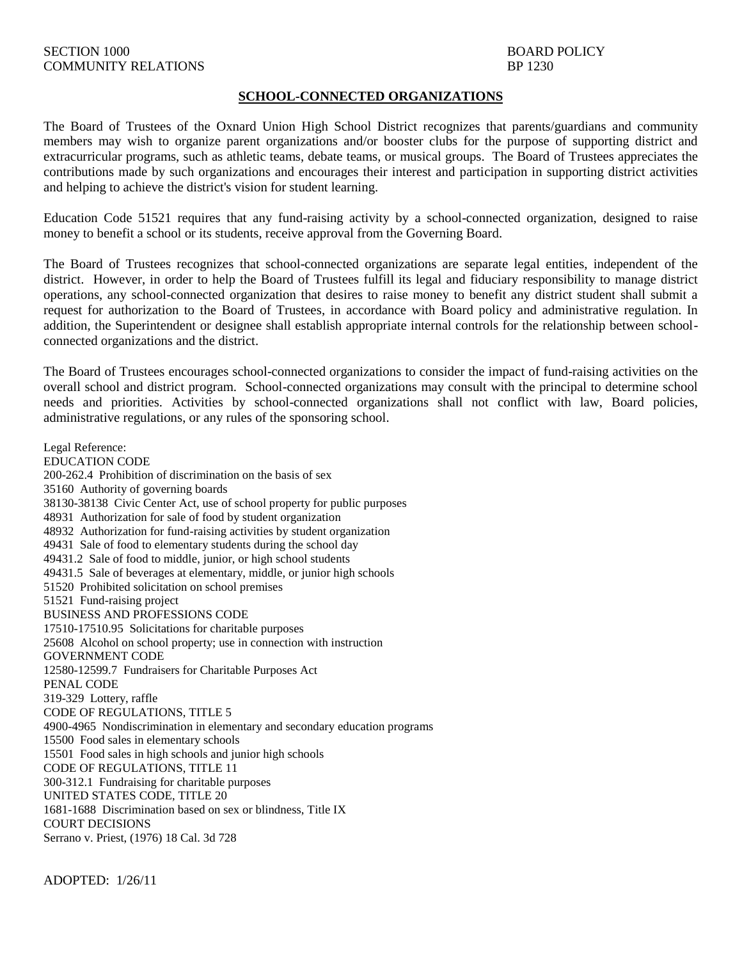## **SCHOOL-CONNECTED ORGANIZATIONS**

The Board of Trustees of the Oxnard Union High School District recognizes that parents/guardians and community members may wish to organize parent organizations and/or booster clubs for the purpose of supporting district and extracurricular programs, such as athletic teams, debate teams, or musical groups. The Board of Trustees appreciates the contributions made by such organizations and encourages their interest and participation in supporting district activities and helping to achieve the district's vision for student learning.

Education Code 51521 requires that any fund-raising activity by a school-connected organization, designed to raise money to benefit a school or its students, receive approval from the Governing Board.

The Board of Trustees recognizes that school-connected organizations are separate legal entities, independent of the district. However, in order to help the Board of Trustees fulfill its legal and fiduciary responsibility to manage district operations, any school-connected organization that desires to raise money to benefit any district student shall submit a request for authorization to the Board of Trustees, in accordance with Board policy and administrative regulation. In addition, the Superintendent or designee shall establish appropriate internal controls for the relationship between schoolconnected organizations and the district.

The Board of Trustees encourages school-connected organizations to consider the impact of fund-raising activities on the overall school and district program. School-connected organizations may consult with the principal to determine school needs and priorities. Activities by school-connected organizations shall not conflict with law, Board policies, administrative regulations, or any rules of the sponsoring school.

Legal Reference: EDUCATION CODE 200-262.4 Prohibition of discrimination on the basis of sex 35160 Authority of governing boards 38130-38138 Civic Center Act, use of school property for public purposes 48931 Authorization for sale of food by student organization 48932 Authorization for fund-raising activities by student organization 49431 Sale of food to elementary students during the school day 49431.2 Sale of food to middle, junior, or high school students 49431.5 Sale of beverages at elementary, middle, or junior high schools 51520 Prohibited solicitation on school premises 51521 Fund-raising project BUSINESS AND PROFESSIONS CODE 17510-17510.95 Solicitations for charitable purposes 25608 Alcohol on school property; use in connection with instruction GOVERNMENT CODE 12580-12599.7 Fundraisers for Charitable Purposes Act PENAL CODE 319-329 Lottery, raffle CODE OF REGULATIONS, TITLE 5 4900-4965 Nondiscrimination in elementary and secondary education programs 15500 Food sales in elementary schools 15501 Food sales in high schools and junior high schools CODE OF REGULATIONS, TITLE 11 300-312.1 Fundraising for charitable purposes UNITED STATES CODE, TITLE 20 1681-1688 Discrimination based on sex or blindness, Title IX COURT DECISIONS Serrano v. Priest, (1976) 18 Cal. 3d 728

ADOPTED: 1/26/11